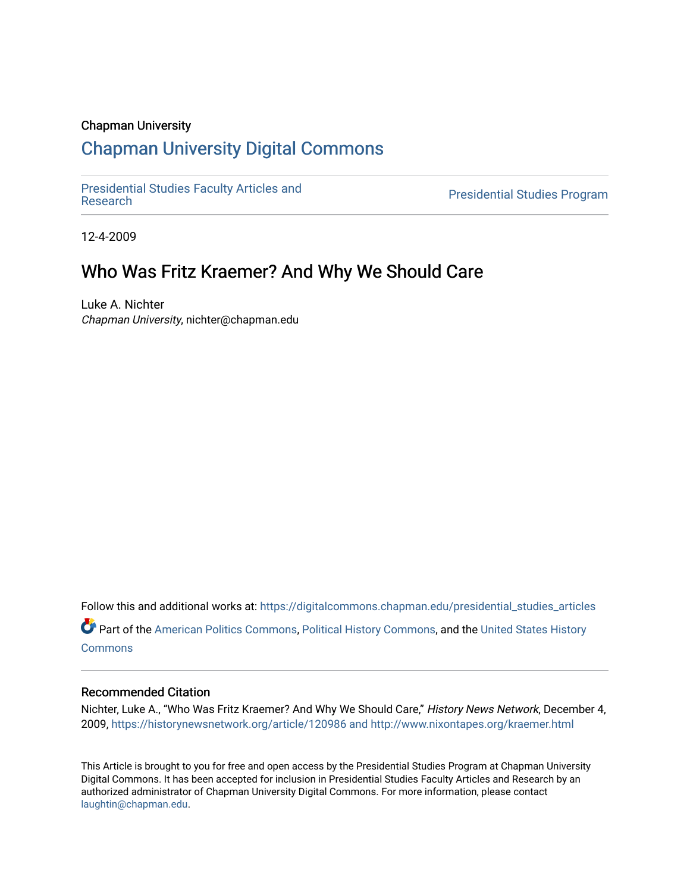#### Chapman University

# [Chapman University Digital Commons](https://digitalcommons.chapman.edu/)

[Presidential Studies Faculty Articles and](https://digitalcommons.chapman.edu/presidential_studies_articles) 

**Presidential Studies Program** 

12-4-2009

# Who Was Fritz Kraemer? And Why We Should Care

Luke A. Nichter Chapman University, nichter@chapman.edu

Follow this and additional works at: [https://digitalcommons.chapman.edu/presidential\\_studies\\_articles](https://digitalcommons.chapman.edu/presidential_studies_articles?utm_source=digitalcommons.chapman.edu%2Fpresidential_studies_articles%2F6&utm_medium=PDF&utm_campaign=PDFCoverPages)  Part of the [American Politics Commons,](http://network.bepress.com/hgg/discipline/387?utm_source=digitalcommons.chapman.edu%2Fpresidential_studies_articles%2F6&utm_medium=PDF&utm_campaign=PDFCoverPages) [Political History Commons,](http://network.bepress.com/hgg/discipline/505?utm_source=digitalcommons.chapman.edu%2Fpresidential_studies_articles%2F6&utm_medium=PDF&utm_campaign=PDFCoverPages) and the [United States History](http://network.bepress.com/hgg/discipline/495?utm_source=digitalcommons.chapman.edu%2Fpresidential_studies_articles%2F6&utm_medium=PDF&utm_campaign=PDFCoverPages) [Commons](http://network.bepress.com/hgg/discipline/495?utm_source=digitalcommons.chapman.edu%2Fpresidential_studies_articles%2F6&utm_medium=PDF&utm_campaign=PDFCoverPages)

#### Recommended Citation

Nichter, Luke A., "Who Was Fritz Kraemer? And Why We Should Care," History News Network, December 4, 2009, [https://historynewsnetwork.org/article/120986 and http://www.nixontapes.org/kraemer.html](https://historynewsnetwork.org/article/120986%20and%20http://www.nixontapes.org/kraemer.html) 

This Article is brought to you for free and open access by the Presidential Studies Program at Chapman University Digital Commons. It has been accepted for inclusion in Presidential Studies Faculty Articles and Research by an authorized administrator of Chapman University Digital Commons. For more information, please contact [laughtin@chapman.edu.](mailto:laughtin@chapman.edu)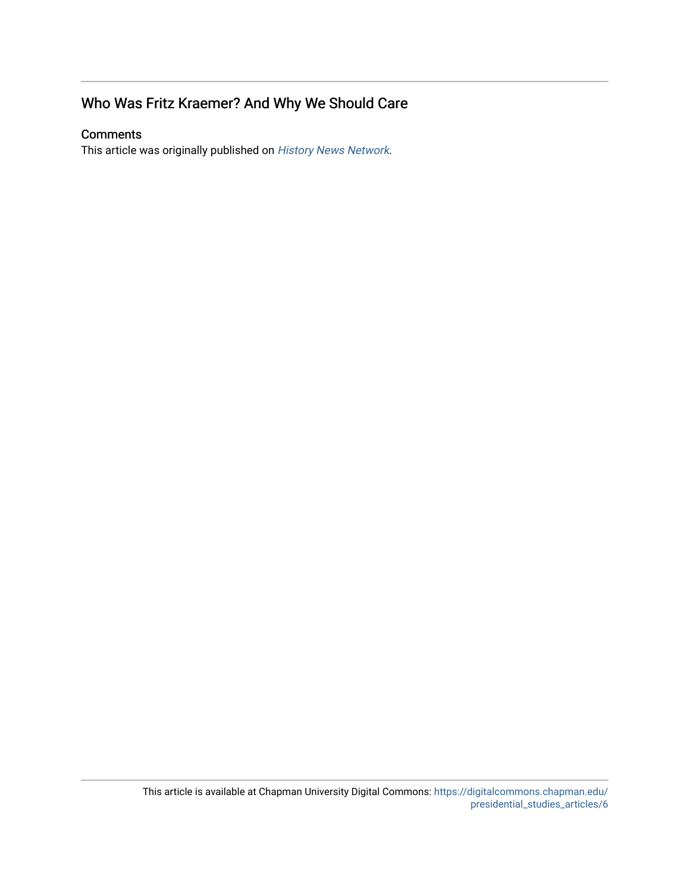# Who Was Fritz Kraemer? And Why We Should Care

### **Comments**

This article was originally published on [History News Network](https://historynewsnetwork.org/article/120986%20and%20http://www.nixontapes.org/kraemer.html).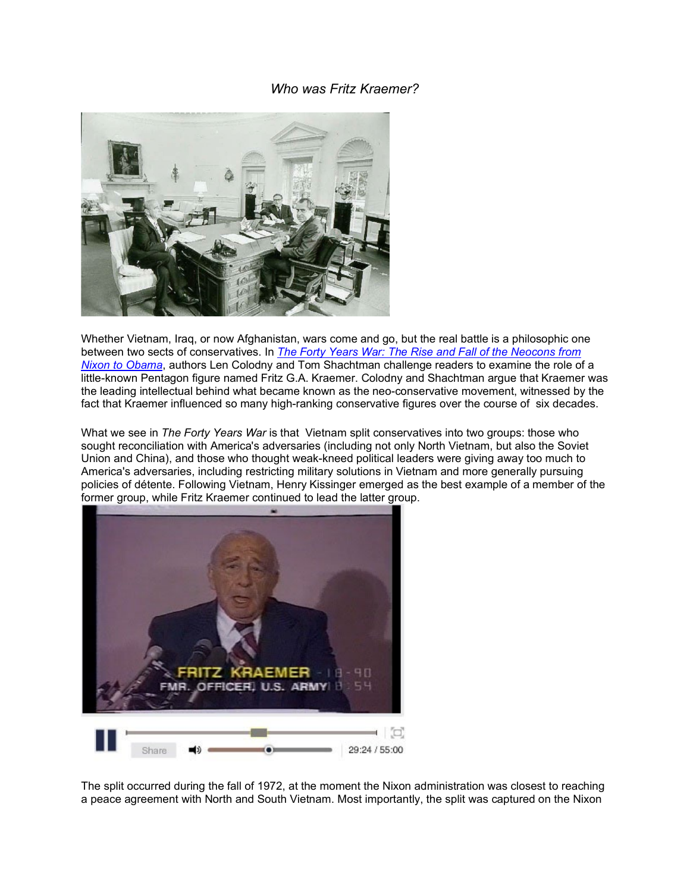### *Who was Fritz Kraemer?*



Whether Vietnam, Iraq, or now Afghanistan, wars come and go, but the real battle is a philosophic one between two sects of conservatives. In *[The Forty Years War: The Rise and Fall of the Neocons from](http://www.amazon.com/Forty-Years-War-Neocons-Nixon/dp/0061253898)  [Nixon to Obama](http://www.amazon.com/Forty-Years-War-Neocons-Nixon/dp/0061253898)*, authors Len Colodny and Tom Shachtman challenge readers to examine the role of a little-known Pentagon figure named Fritz G.A. Kraemer. Colodny and Shachtman argue that Kraemer was the leading intellectual behind what became known as the neo-conservative movement, witnessed by the fact that Kraemer influenced so many high-ranking conservative figures over the course of six decades.

What we see in *The Forty Years War* is that Vietnam split conservatives into two groups: those who sought reconciliation with America's adversaries (including not only North Vietnam, but also the Soviet Union and China), and those who thought weak-kneed political leaders were giving away too much to America's adversaries, including restricting military solutions in Vietnam and more generally pursuing policies of détente. Following Vietnam, Henry Kissinger emerged as the best example of a member of the [former group, while Fritz Kraemer continued to lead the latter group](http://www.c-spanvideo.org/program/15043-1).



The split occurred during the fall of 1972, at the moment the Nixon administration was closest to reaching a peace agreement with North and South Vietnam. Most importantly, the split was captured on the Nixon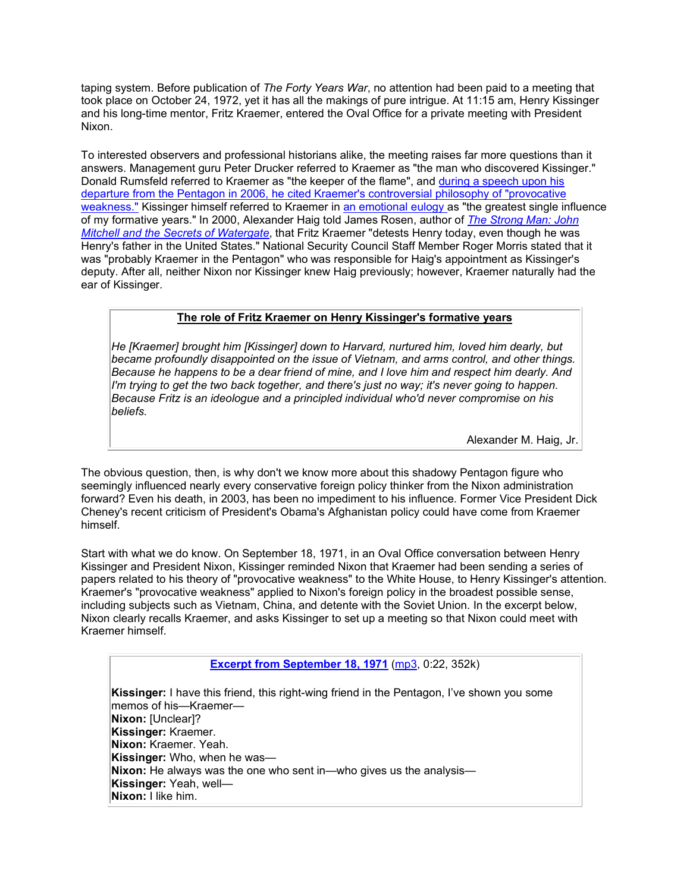taping system. Before publication of *The Forty Years War*, no attention had been paid to a meeting that took place on October 24, 1972, yet it has all the makings of pure intrigue. At 11:15 am, Henry Kissinger and his long-time mentor, Fritz Kraemer, entered the Oval Office for a private meeting with President Nixon.

To interested observers and professional historians alike, the meeting raises far more questions than it answers. Management guru Peter Drucker referred to Kraemer as "the man who discovered Kissinger." Donald Rumsfeld referred to Kraemer as "the keeper of the flame", and [during a speech upon his](http://www.nytimes.com/2006/12/16/washington/16prexy.html)  [departure from the Pentagon in 2006, he cited Kraemer's controversial philosophy of "provocative](http://www.nytimes.com/2006/12/16/washington/16prexy.html)  [weakness."](http://www.nytimes.com/2006/12/16/washington/16prexy.html) Kissinger himself referred to Kraemer in [an emotional eulogy a](http://www.henryakissinger.com/eulogies/100803.html)s "the greatest single influence of my formative years." In 2000, Alexander Haig told James Rosen, author of *[The Strong Man: John](http://www.amazon.com/Strong-Man-Mitchell-Secrets-Watergate/dp/0385508646)  [Mitchell and the Secrets of Watergate](http://www.amazon.com/Strong-Man-Mitchell-Secrets-Watergate/dp/0385508646)*, that Fritz Kraemer "detests Henry today, even though he was Henry's father in the United States." National Security Council Staff Member Roger Morris stated that it was "probably Kraemer in the Pentagon" who was responsible for Haig's appointment as Kissinger's deputy. After all, neither Nixon nor Kissinger knew Haig previously; however, Kraemer naturally had the ear of Kissinger.

#### **The role of Fritz Kraemer on Henry Kissinger's formative years**

*He [Kraemer] brought him [Kissinger] down to Harvard, nurtured him, loved him dearly, but became profoundly disappointed on the issue of Vietnam, and arms control, and other things. Because he happens to be a dear friend of mine, and I love him and respect him dearly. And I'm trying to get the two back together, and there's just no way; it's never going to happen. Because Fritz is an ideologue and a principled individual who'd never compromise on his beliefs.*

Alexander M. Haig, Jr.

The obvious question, then, is why don't we know more about this shadowy Pentagon figure who seemingly influenced nearly every conservative foreign policy thinker from the Nixon administration forward? Even his death, in 2003, has been no impediment to his influence. Former Vice President Dick Cheney's recent criticism of President's Obama's Afghanistan policy could have come from Kraemer himself.

Start with what we do know. On September 18, 1971, in an Oval Office conversation between Henry Kissinger and President Nixon, Kissinger reminded Nixon that Kraemer had been sending a series of papers related to his theory of "provocative weakness" to the White House, to Henry Kissinger's attention. Kraemer's "provocative weakness" applied to Nixon's foreign policy in the broadest possible sense, including subjects such as Vietnam, China, and detente with the Soviet Union. In the excerpt below, Nixon clearly recalls Kraemer, and asks Kissinger to set up a meeting so that Nixon could meet with Kraemer himself.

**[Excerpt from September 18, 1971](http://www.nixontapes.org/fgak/576-006.mp3)** [\(mp3,](http://www.nixontapes.org/fgak/576-006.mp3) 0:22, 352k)

**Kissinger:** I have this friend, this right-wing friend in the Pentagon, I've shown you some memos of his—Kraemer— **Nixon:** [Unclear]? **Kissinger:** Kraemer. **Nixon:** Kraemer. Yeah. **Kissinger:** Who, when he was— **Nixon:** He always was the one who sent in—who gives us the analysis— **Kissinger:** Yeah, well— **Nixon:** I like him.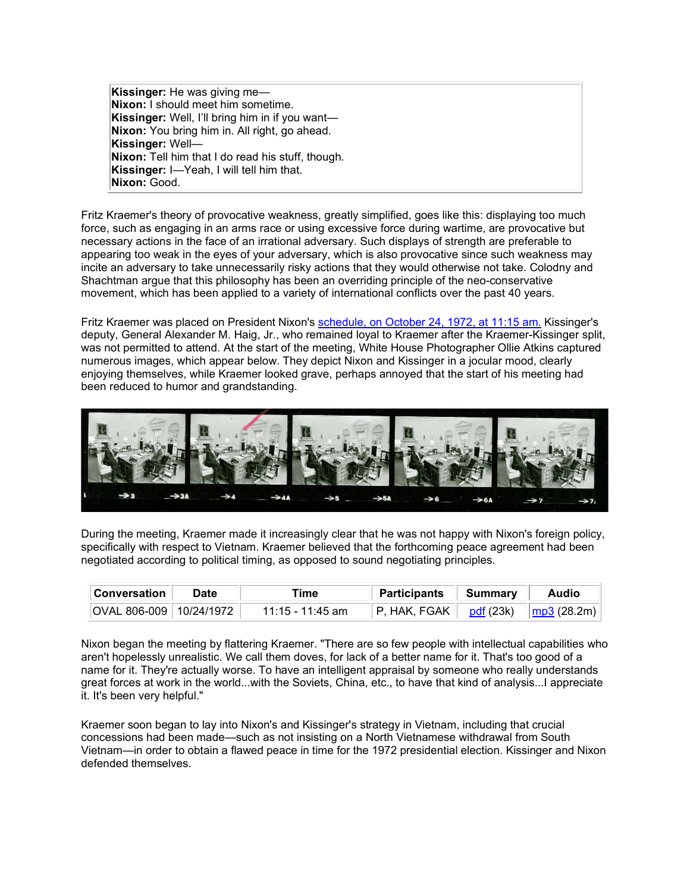**Kissinger:** He was giving me— **Nixon:** I should meet him sometime. **Kissinger:** Well, I'll bring him in if you want— **Nixon:** You bring him in. All right, go ahead. **Kissinger:** Well— **Nixon:** Tell him that I do read his stuff, though. **Kissinger:** I—Yeah, I will tell him that. **Nixon:** Good.

Fritz Kraemer's theory of provocative weakness, greatly simplified, goes like this: displaying too much force, such as engaging in an arms race or using excessive force during wartime, are provocative but necessary actions in the face of an irrational adversary. Such displays of strength are preferable to appearing too weak in the eyes of your adversary, which is also provocative since such weakness may incite an adversary to take unnecessarily risky actions that they would otherwise not take. Colodny and Shachtman argue that this philosophy has been an overriding principle of the neo-conservative movement, which has been applied to a variety of international conflicts over the past 40 years.

Fritz Kraemer was placed on President Nixon's [schedule, on October 24, 1972, at 11:15 am.](http://www.nixontapes.org/fgak/1972-10-24.pdf) Kissinger's deputy, General Alexander M. Haig, Jr., who remained loyal to Kraemer after the Kraemer-Kissinger split, was not permitted to attend. At the start of the meeting, White House Photographer Ollie Atkins captured numerous images, which appear below. They depict Nixon and Kissinger in a jocular mood, clearly enjoying themselves, while Kraemer looked grave, perhaps annoyed that the start of his meeting had been reduced to humor and grandstanding.



During the meeting, Kraemer made it increasingly clear that he was not happy with Nixon's foreign policy, specifically with respect to Vietnam. Kraemer believed that the forthcoming peace agreement had been negotiated according to political timing, as opposed to sound negotiating principles.

| Conversation              | <b>Date</b> | ⊺ime             | <b>Participants Summary</b>                                    | Audio |
|---------------------------|-------------|------------------|----------------------------------------------------------------|-------|
| OVAL 806-009   10/24/1972 |             | 11:15 - 11:45 am | │   P, HAK, FGAK    <u>pdf</u> (23k)        <u>mp3</u> (28.2m) |       |

Nixon began the meeting by flattering Kraemer. "There are so few people with intellectual capabilities who aren't hopelessly unrealistic. We call them doves, for lack of a better name for it. That's too good of a name for it. They're actually worse. To have an intelligent appraisal by someone who really understands great forces at work in the world...with the Soviets, China, etc., to have that kind of analysis...I appreciate it. It's been very helpful."

Kraemer soon began to lay into Nixon's and Kissinger's strategy in Vietnam, including that crucial concessions had been made—such as not insisting on a North Vietnamese withdrawal from South Vietnam—in order to obtain a flawed peace in time for the 1972 presidential election. Kissinger and Nixon defended themselves.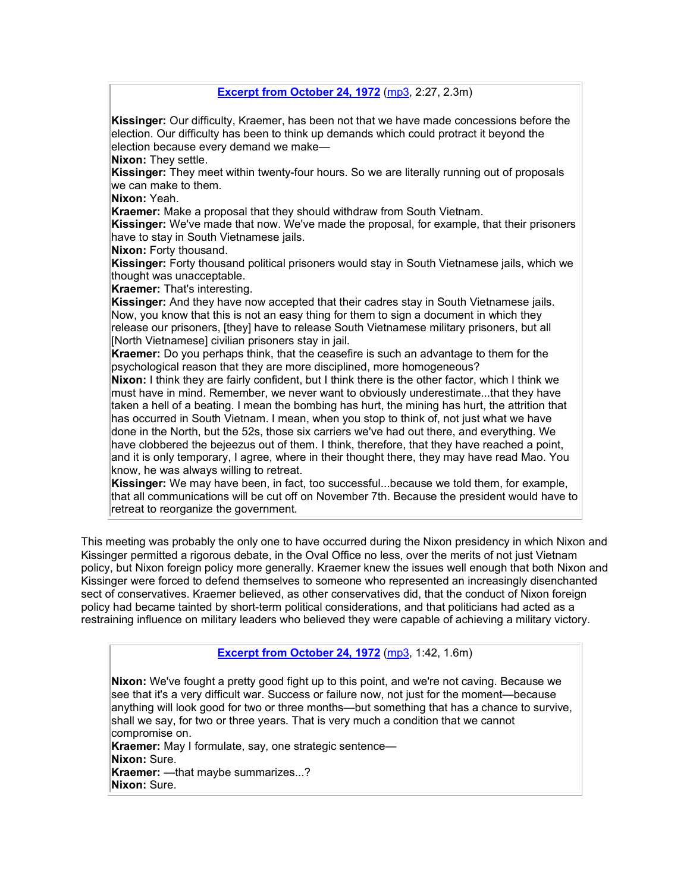**[Excerpt from October 24, 1972](http://www.nixontapes.org/fgak/806-009_excerpt.mp3)** [\(mp3,](http://www.nixontapes.org/fgak/806-009_excerpt.mp3) 2:27, 2.3m)

**Kissinger:** Our difficulty, Kraemer, has been not that we have made concessions before the election. Our difficulty has been to think up demands which could protract it beyond the election because every demand we make—

**Nixon:** They settle.

**Kissinger:** They meet within twenty-four hours. So we are literally running out of proposals we can make to them.

**Nixon:** Yeah.

**Kraemer:** Make a proposal that they should withdraw from South Vietnam.

**Kissinger:** We've made that now. We've made the proposal, for example, that their prisoners have to stay in South Vietnamese jails.

**Nixon:** Forty thousand.

**Kissinger:** Forty thousand political prisoners would stay in South Vietnamese jails, which we thought was unacceptable.

**Kraemer:** That's interesting.

**Kissinger:** And they have now accepted that their cadres stay in South Vietnamese jails. Now, you know that this is not an easy thing for them to sign a document in which they release our prisoners, [they] have to release South Vietnamese military prisoners, but all [North Vietnamese] civilian prisoners stay in jail.

**Kraemer:** Do you perhaps think, that the ceasefire is such an advantage to them for the psychological reason that they are more disciplined, more homogeneous?

**Nixon:** I think they are fairly confident, but I think there is the other factor, which I think we must have in mind. Remember, we never want to obviously underestimate...that they have taken a hell of a beating. I mean the bombing has hurt, the mining has hurt, the attrition that has occurred in South Vietnam. I mean, when you stop to think of, not just what we have done in the North, but the 52s, those six carriers we've had out there, and everything. We have clobbered the bejeezus out of them. I think, therefore, that they have reached a point, and it is only temporary, I agree, where in their thought there, they may have read Mao. You know, he was always willing to retreat.

**Kissinger:** We may have been, in fact, too successful...because we told them, for example, that all communications will be cut off on November 7th. Because the president would have to retreat to reorganize the government.

This meeting was probably the only one to have occurred during the Nixon presidency in which Nixon and Kissinger permitted a rigorous debate, in the Oval Office no less, over the merits of not just Vietnam policy, but Nixon foreign policy more generally. Kraemer knew the issues well enough that both Nixon and Kissinger were forced to defend themselves to someone who represented an increasingly disenchanted sect of conservatives. Kraemer believed, as other conservatives did, that the conduct of Nixon foreign policy had became tainted by short-term political considerations, and that politicians had acted as a restraining influence on military leaders who believed they were capable of achieving a military victory.

**[Excerpt from October 24, 1972](http://www.nixontapes.org/fgak/806-009_excerpt2.mp3)** [\(mp3,](http://www.nixontapes.org/fgak/806-009_excerpt2.mp3) 1:42, 1.6m)

**Nixon:** We've fought a pretty good fight up to this point, and we're not caving. Because we see that it's a very difficult war. Success or failure now, not just for the moment—because anything will look good for two or three months—but something that has a chance to survive, shall we say, for two or three years. That is very much a condition that we cannot compromise on. **Kraemer:** May I formulate, say, one strategic sentence— **Nixon:** Sure. **Kraemer:** —that maybe summarizes...? **Nixon:** Sure.